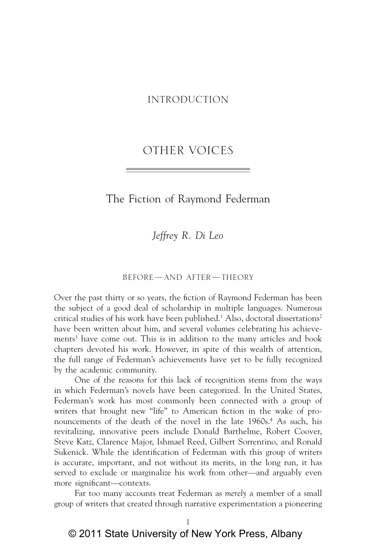### INTRODUCTION

# OTHER VOICES

## The Fiction of Raymond Federman

*Jeffrey R. Di Leo*

BEFORE—AND AFTER—THEORY

Over the past thirty or so years, the fiction of Raymond Federman has been the subject of a good deal of scholarship in multiple languages. Numerous critical studies of his work have been published.<sup>1</sup> Also, doctoral dissertations<sup>2</sup> have been written about him, and several volumes celebrating his achievements<sup>3</sup> have come out. This is in addition to the many articles and book chapters devoted his work. However, in spite of this wealth of attention, the full range of Federman's achievements have yet to be fully recognized by the academic community.

One of the reasons for this lack of recognition stems from the ways in which Federman's novels have been categorized. In the United States, Federman's work has most commonly been connected with a group of writers that brought new "life" to American fiction in the wake of pronouncements of the death of the novel in the late 1960s.<sup>4</sup> As such, his revitalizing, innovative peers include Donald Barthelme, Robert Coover, Steve Katz, Clarence Major, Ishmael Reed, Gilbert Sorrentino, and Ronald Sukenick. While the identification of Federman with this group of writers is accurate, important, and not without its merits, in the long run, it has served to exclude or marginalize his work from other—and arguably even more significant—contexts.

Far too many accounts treat Federman as *merely* a member of a small group of writers that created through narrative experimentation a pioneering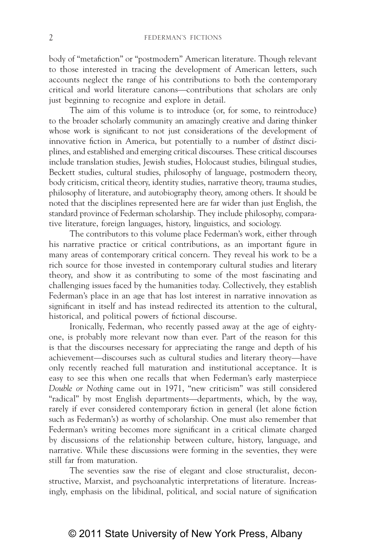body of "metafiction" or "postmodern" American literature. Though relevant to those interested in tracing the development of American letters, such accounts neglect the range of his contributions to both the contemporary critical and world literature canons—contributions that scholars are only just beginning to recognize and explore in detail.

The aim of this volume is to introduce (or, for some, to reintroduce) to the broader scholarly community an amazingly creative and daring thinker whose work is significant to not just considerations of the development of innovative fiction in America, but potentially to a number of *distinct* disciplines, and established and emerging critical discourses. These critical discourses include translation studies, Jewish studies, Holocaust studies, bilingual studies, Beckett studies, cultural studies, philosophy of language, postmodern theory, body criticism, critical theory, identity studies, narrative theory, trauma studies, philosophy of literature, and autobiography theory, among others. It should be noted that the disciplines represented here are far wider than just English, the standard province of Federman scholarship. They include philosophy, comparative literature, foreign languages, history, linguistics, and sociology.

The contributors to this volume place Federman's work, either through his narrative practice or critical contributions, as an important figure in many areas of contemporary critical concern. They reveal his work to be a rich source for those invested in contemporary cultural studies and literary theory, and show it as contributing to some of the most fascinating and challenging issues faced by the humanities today. Collectively, they establish Federman's place in an age that has lost interest in narrative innovation as significant in itself and has instead redirected its attention to the cultural, historical, and political powers of fictional discourse.

Ironically, Federman, who recently passed away at the age of eightyone, is probably more relevant now than ever. Part of the reason for this is that the discourses necessary for appreciating the range and depth of his achievement—discourses such as cultural studies and literary theory—have only recently reached full maturation and institutional acceptance. It is easy to see this when one recalls that when Federman's early masterpiece *Double or Nothing* came out in 1971, "new criticism" was still considered "radical" by most English departments—departments, which, by the way, rarely if ever considered contemporary fiction in general (let alone fiction such as Federman's) as worthy of scholarship. One must also remember that Federman's writing becomes more significant in a critical climate charged by discussions of the relationship between culture, history, language, and narrative. While these discussions were forming in the seventies, they were still far from maturation.

The seventies saw the rise of elegant and close structuralist, deconstructive, Marxist, and psychoanalytic interpretations of literature. Increasingly, emphasis on the libidinal, political, and social nature of signification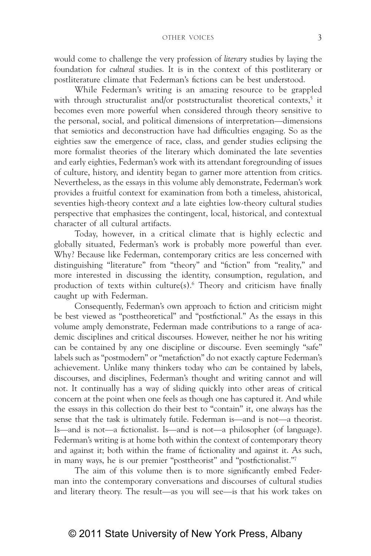would come to challenge the very profession of *literary* studies by laying the foundation for *cultural* studies. It is in the context of this postliterary or postliterature climate that Federman's fictions can be best understood.

While Federman's writing is an amazing resource to be grappled with through structuralist and/or poststructuralist theoretical contexts,<sup>5</sup> it becomes even more powerful when considered through theory sensitive to the personal, social, and political dimensions of interpretation—dimensions that semiotics and deconstruction have had difficulties engaging. So as the eighties saw the emergence of race, class, and gender studies eclipsing the more formalist theories of the literary which dominated the late seventies and early eighties, Federman's work with its attendant foregrounding of issues of culture, history, and identity began to garner more attention from critics. Nevertheless, as the essays in this volume ably demonstrate, Federman's work provides a fruitful context for examination from both a timeless, ahistorical, seventies high-theory context *and* a late eighties low-theory cultural studies perspective that emphasizes the contingent, local, historical, and contextual character of all cultural artifacts.

Today, however, in a critical climate that is highly eclectic and globally situated, Federman's work is probably more powerful than ever. Why? Because like Federman, contemporary critics are less concerned with distinguishing "literature" from "theory" and "fiction" from "reality," and more interested in discussing the identity, consumption, regulation, and production of texts within culture(s).<sup>6</sup> Theory and criticism have finally caught up with Federman.

Consequently, Federman's own approach to fiction and criticism might be best viewed as "posttheoretical" and "postfictional." As the essays in this volume amply demonstrate, Federman made contributions to a range of academic disciplines and critical discourses. However, neither he nor his writing can be contained by any one discipline or discourse. Even seemingly "safe" labels such as "postmodern" or "metafiction" do not exactly capture Federman's achievement. Unlike many thinkers today who *can* be contained by labels, discourses, and disciplines, Federman's thought and writing cannot and will not. It continually has a way of sliding quickly into other areas of critical concern at the point when one feels as though one has captured it. And while the essays in this collection do their best to "contain" it, one always has the sense that the task is ultimately futile. Federman is—and is not—a theorist. Is—and is not—a fictionalist. Is—and is not—a philosopher (of language). Federman's writing is at home both within the context of contemporary theory and against it; both within the frame of fictionality and against it. As such, in many ways, he is our premier "posttheorist" and "postfictionalist."<sup>7</sup>

The aim of this volume then is to more significantly embed Federman into the contemporary conversations and discourses of cultural studies and literary theory. The result—as you will see—is that his work takes on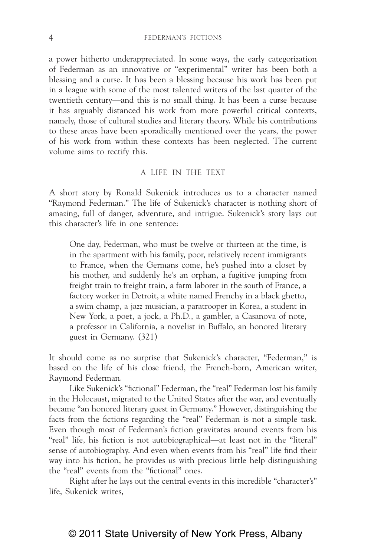a power hitherto underappreciated. In some ways, the early categorization of Federman as an innovative or "experimental" writer has been both a blessing and a curse. It has been a blessing because his work has been put in a league with some of the most talented writers of the last quarter of the twentieth century—and this is no small thing. It has been a curse because it has arguably distanced his work from more powerful critical contexts, namely, those of cultural studies and literary theory. While his contributions to these areas have been sporadically mentioned over the years, the power of his work from within these contexts has been neglected. The current volume aims to rectify this.

### A LIFE IN THE TEXT

A short story by Ronald Sukenick introduces us to a character named "Raymond Federman." The life of Sukenick's character is nothing short of amazing, full of danger, adventure, and intrigue. Sukenick's story lays out this character's life in one sentence:

One day, Federman, who must be twelve or thirteen at the time, is in the apartment with his family, poor, relatively recent immigrants to France, when the Germans come, he's pushed into a closet by his mother, and suddenly he's an orphan, a fugitive jumping from freight train to freight train, a farm laborer in the south of France, a factory worker in Detroit, a white named Frenchy in a black ghetto, a swim champ, a jazz musician, a paratrooper in Korea, a student in New York, a poet, a jock, a Ph.D., a gambler, a Casanova of note, a professor in California, a novelist in Buffalo, an honored literary guest in Germany. (321)

It should come as no surprise that Sukenick's character, "Federman," is based on the life of his close friend, the French-born, American writer, Raymond Federman.

Like Sukenick's "fictional" Federman, the "real" Federman lost his family in the Holocaust, migrated to the United States after the war, and eventually became "an honored literary guest in Germany." However, distinguishing the facts from the fictions regarding the "real" Federman is not a simple task. Even though most of Federman's fiction gravitates around events from his "real" life, his fiction is not autobiographical—at least not in the "literal" sense of autobiography. And even when events from his "real" life find their way into his fiction, he provides us with precious little help distinguishing the "real" events from the "fictional" ones.

Right after he lays out the central events in this incredible "character's" life, Sukenick writes,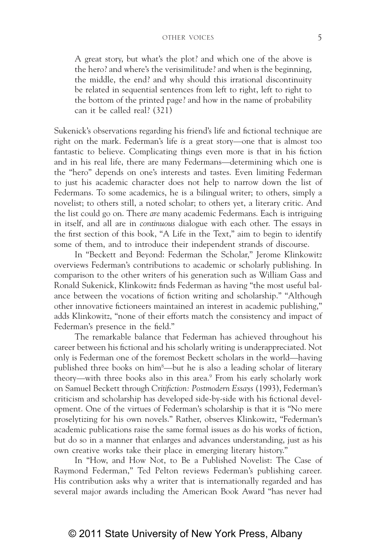A great story, but what's the plot? and which one of the above is the hero? and where's the verisimilitude? and when is the beginning, the middle, the end? and why should this irrational discontinuity be related in sequential sentences from left to right, left to right to the bottom of the printed page? and how in the name of probability can it be called real? (321)

Sukenick's observations regarding his friend's life and fictional technique are right on the mark. Federman's life *is* a great story—one that is almost too fantastic to believe. Complicating things even more is that in his fiction and in his real life, there are many Federmans—determining which one is the "hero" depends on one's interests and tastes. Even limiting Federman to just his academic character does not help to narrow down the list of Federmans. To some academics, he is a bilingual writer; to others, simply a novelist; to others still, a noted scholar; to others yet, a literary critic. And the list could go on. There *are* many academic Federmans. Each is intriguing in itself, and all are in *continuous* dialogue with each other. The essays in the first section of this book, "A Life in the Text," aim to begin to identify some of them, and to introduce their independent strands of discourse.

In "Beckett and Beyond: Federman the Scholar," Jerome Klinkowitz overviews Federman's contributions to academic or scholarly publishing. In comparison to the other writers of his generation such as William Gass and Ronald Sukenick, Klinkowitz finds Federman as having "the most useful balance between the vocations of fiction writing and scholarship." "Although other innovative fictioneers maintained an interest in academic publishing," adds Klinkowitz, "none of their efforts match the consistency and impact of Federman's presence in the field."

The remarkable balance that Federman has achieved throughout his career between his fictional and his scholarly writing is underappreciated. Not only is Federman one of the foremost Beckett scholars in the world—having published three books on him<sup>8</sup>—but he is also a leading scholar of literary theory—with three books also in this area.<sup>9</sup> From his early scholarly work on Samuel Beckett through *Critifiction: Postmodern Essays* (1993), Federman's criticism and scholarship has developed side-by-side with his fictional development. One of the virtues of Federman's scholarship is that it is "No mere proselytizing for his own novels." Rather, observes Klinkowitz, "Federman's academic publications raise the same formal issues as do his works of fiction, but do so in a manner that enlarges and advances understanding, just as his own creative works take their place in emerging literary history."

In "How, and How Not, to Be a Published Novelist: The Case of Raymond Federman," Ted Pelton reviews Federman's publishing career. His contribution asks why a writer that is internationally regarded and has several major awards including the American Book Award "has never had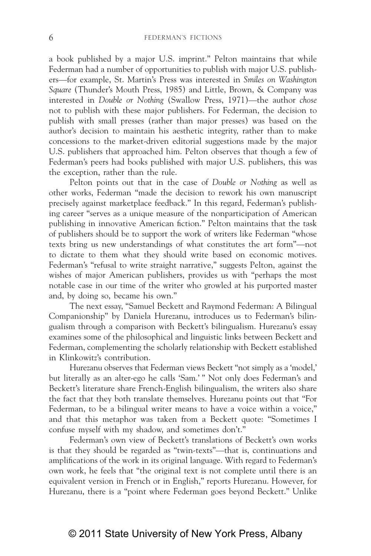a book published by a major U.S. imprint." Pelton maintains that while Federman had a number of opportunities to publish with major U.S. publishers—for example, St. Martin's Press was interested in *Smiles on Washington Square* (Thunder's Mouth Press, 1985) and Little, Brown, & Company was interested in *Double or Nothing* (Swallow Press, 1971)—the author *chose* not to publish with these major publishers. For Federman, the decision to publish with small presses (rather than major presses) was based on the author's decision to maintain his aesthetic integrity, rather than to make concessions to the market-driven editorial suggestions made by the major U.S. publishers that approached him. Pelton observes that though a few of Federman's peers had books published with major U.S. publishers, this was the exception, rather than the rule.

Pelton points out that in the case of *Double or Nothing* as well as other works, Federman "made the decision to rework his own manuscript precisely against marketplace feedback." In this regard, Federman's publishing career "serves as a unique measure of the nonparticipation of American publishing in innovative American fiction." Pelton maintains that the task of publishers should be to support the work of writers like Federman "whose texts bring us new understandings of what constitutes the art form"—not to dictate to them what they should write based on economic motives. Federman's "refusal to write straight narrative," suggests Pelton, against the wishes of major American publishers, provides us with "perhaps the most notable case in our time of the writer who growled at his purported master and, by doing so, became his own."

The next essay, "Samuel Beckett and Raymond Federman: A Bilingual Companionship" by Daniela Hurezanu, introduces us to Federman's bilingualism through a comparison with Beckett's bilingualism. Hurezanu's essay examines some of the philosophical and linguistic links between Beckett and Federman, complementing the scholarly relationship with Beckett established in Klinkowitz's contribution.

Hurezanu observes that Federman views Beckett "not simply as a 'model,' but literally as an alter-ego he calls 'Sam.' " Not only does Federman's and Beckett's literature share French-English bilingualism, the writers also share the fact that they both translate themselves. Hurezanu points out that "For Federman, to be a bilingual writer means to have a voice within a voice," and that this metaphor was taken from a Beckett quote: "Sometimes I confuse myself with my shadow, and sometimes don't."

Federman's own view of Beckett's translations of Beckett's own works is that they should be regarded as "twin-texts"—that is, continuations and amplifications of the work in its original language. With regard to Federman's own work, he feels that "the original text is not complete until there is an equivalent version in French or in English," reports Hurezanu. However, for Hurezanu, there is a "point where Federman goes beyond Beckett." Unlike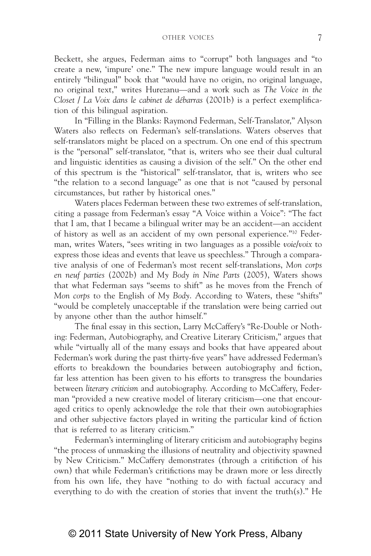Beckett, she argues, Federman aims to "corrupt" both languages and "to create a new, 'impure' one." The new impure language would result in an entirely "bilingual" book that "would have no origin, no original language, no original text," writes Hurezanu—and a work such as *The Voice in the Closet / La Voix dans le cabinet de débarras* (2001b) is a perfect exemplification of this bilingual aspiration.

In "Filling in the Blanks: Raymond Federman, Self-Translator," Alyson Waters also reflects on Federman's self-translations. Waters observes that self-translators might be placed on a spectrum. On one end of this spectrum is the "personal" self-translator, "that is, writers who see their dual cultural and linguistic identities as causing a division of the self." On the other end of this spectrum is the "historical" self-translator, that is, writers who see "the relation to a second language" as one that is not "caused by personal circumstances, but rather by historical ones."

Waters places Federman between these two extremes of self-translation, citing a passage from Federman's essay "A Voice within a Voice": "The fact that I am, that I became a bilingual writer may be an accident—an accident of history as well as an accident of my own personal experience."10 Federman, writes Waters, "sees writing in two languages as a possible *voie/voix* to express those ideas and events that leave us speechless." Through a comparative analysis of one of Federman's most recent self-translations, *Mon corps en neuf parties* (2002b) and *My Body in Nine Parts* (2005), Waters shows that what Federman says "seems to shift" as he moves from the French of *Mon corps* to the English of *My Body*. According to Waters, these "shifts" "would be completely unacceptable if the translation were being carried out by anyone other than the author himself."

The final essay in this section, Larry McCaffery's "Re-Double or Nothing: Federman, Autobiography, and Creative Literary Criticism," argues that while "virtually all of the many essays and books that have appeared about Federman's work during the past thirty-five years" have addressed Federman's efforts to breakdown the boundaries between autobiography and fiction, far less attention has been given to his efforts to transgress the boundaries between *literary criticism* and autobiography. According to McCaffery, Federman "provided a new creative model of literary criticism—one that encouraged critics to openly acknowledge the role that their own autobiographies and other subjective factors played in writing the particular kind of fiction that is referred to as literary criticism."

Federman's intermingling of literary criticism and autobiography begins "the process of unmasking the illusions of neutrality and objectivity spawned by New Criticism." McCaffery demonstrates (through a critifiction of his own) that while Federman's critifictions may be drawn more or less directly from his own life, they have "nothing to do with factual accuracy and everything to do with the creation of stories that invent the truth(s)." He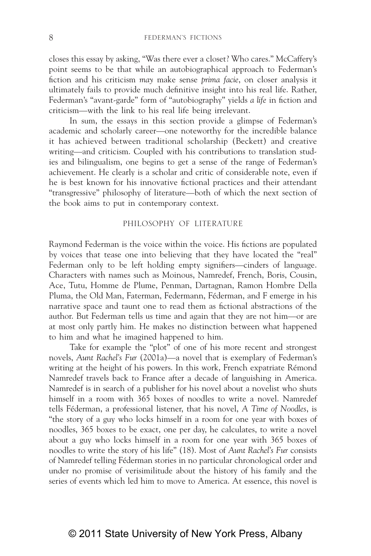closes this essay by asking, "Was there ever a closet? Who cares." McCaffery's point seems to be that while an autobiographical approach to Federman's fi ction and his criticism *may* make sense *prima facie*, on closer analysis it ultimately fails to provide much definitive insight into his real life. Rather, Federman's "avant-garde" form of "autobiography" yields *a life* in fiction and criticism—with the link to his real life being irrelevant.

In sum, the essays in this section provide a glimpse of Federman's academic and scholarly career—one noteworthy for the incredible balance it has achieved between traditional scholarship (Beckett) and creative writing—and criticism. Coupled with his contributions to translation studies and bilingualism, one begins to get a sense of the range of Federman's achievement. He clearly is a scholar and critic of considerable note, even if he is best known for his innovative fictional practices and their attendant "transgressive" philosophy of literature—both of which the next section of the book aims to put in contemporary context.

#### PHILOSOPHY OF LITERATURE

Raymond Federman is the voice within the voice. His fictions are populated by voices that tease one into believing that they have located the "real" Federman only to be left holding empty signifiers—cinders of language. Characters with names such as Moinous, Namredef, French, Boris, Cousin, Ace, Tutu, Homme de Plume, Penman, Dartagnan, Ramon Hombre Della Pluma, the Old Man, Faterman, Federmann, Féderman, and F emerge in his narrative space and taunt one to read them as fictional abstractions of the author. But Federman tells us time and again that they are not him—or are at most only partly him. He makes no distinction between what happened to him and what he imagined happened to him.

Take for example the "plot" of one of his more recent and strongest novels, *Aunt Rachel's Fur* (2001a)—a novel that is exemplary of Federman's writing at the height of his powers. In this work, French expatriate Rémond Namredef travels back to France after a decade of languishing in America. Namredef is in search of a publisher for his novel about a novelist who shuts himself in a room with 365 boxes of noodles to write a novel. Namredef tells Féderman, a professional listener, that his novel, *A Time of Noodles*, is "the story of a guy who locks himself in a room for one year with boxes of noodles, 365 boxes to be exact, one per day, he calculates, to write a novel about a guy who locks himself in a room for one year with 365 boxes of noodles to write the story of his life" (18). Most of *Aunt Rachel's Fur* consists of Namredef telling Féderman stories in no particular chronological order and under no promise of verisimilitude about the history of his family and the series of events which led him to move to America. At essence, this novel is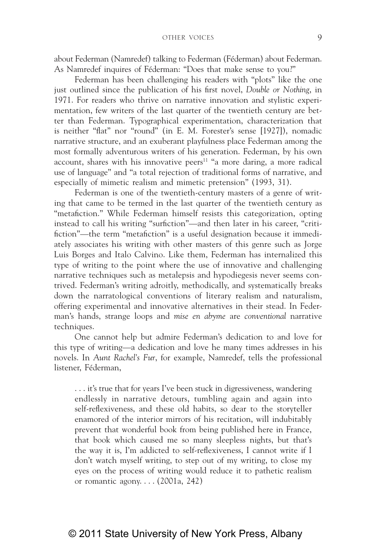about Federman (Namredef) talking to Federman (Féderman) about Federman. As Namredef inquires of Féderman: "Does that make sense to you?"

Federman has been challenging his readers with "plots" like the one just outlined since the publication of his first novel, *Double or Nothing*, in 1971. For readers who thrive on narrative innovation and stylistic experimentation, few writers of the last quarter of the twentieth century are better than Federman. Typographical experimentation, characterization that is neither "flat" nor "round" (in E. M. Forester's sense [1927]), nomadic narrative structure, and an exuberant playfulness place Federman among the most formally adventurous writers of his generation. Federman, by his own account, shares with his innovative peers<sup>11</sup> "a more daring, a more radical use of language" and "a total rejection of traditional forms of narrative, and especially of mimetic realism and mimetic pretension" (1993, 31).

Federman is one of the twentieth-century masters of a genre of writing that came to be termed in the last quarter of the twentieth century as "metafiction." While Federman himself resists this categorization, opting instead to call his writing "surfiction"—and then later in his career, "critifiction"—the term "metafiction" is a useful designation because it immediately associates his writing with other masters of this genre such as Jorge Luis Borges and Italo Calvino. Like them, Federman has internalized this type of writing to the point where the use of innovative and challenging narrative techniques such as metalepsis and hypodiegesis never seems contrived. Federman's writing adroitly, methodically, and systematically breaks down the narratological conventions of literary realism and naturalism, offering experimental and innovative alternatives in their stead. In Federman's hands, strange loops and *mise en abyme* are *conventional* narrative techniques.

One cannot help but admire Federman's dedication to and love for this type of writing—a dedication and love he many times addresses in his novels. In *Aunt Rachel's Fur*, for example, Namredef, tells the professional listener, Féderman,

. . . it's true that for years I've been stuck in digressiveness, wandering endlessly in narrative detours, tumbling again and again into self-reflexiveness, and these old habits, so dear to the storyteller enamored of the interior mirrors of his recitation, will indubitably prevent that wonderful book from being published here in France, that book which caused me so many sleepless nights, but that's the way it is, I'm addicted to self-reflexiveness, I cannot write if I don't watch myself writing, to step out of my writing, to close my eyes on the process of writing would reduce it to pathetic realism or romantic agony. . . . (2001a, 242)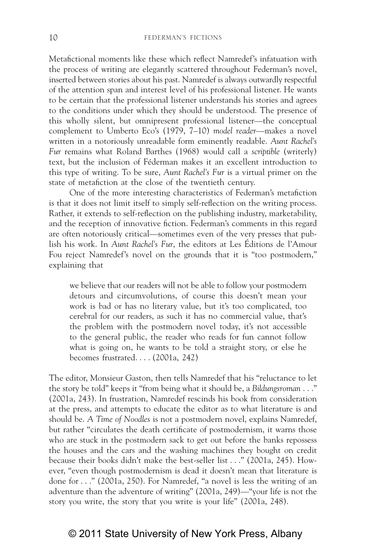Metafictional moments like these which reflect Namredef's infatuation with the process of writing are elegantly scattered throughout Federman's novel, inserted between stories about his past. Namredef is always outwardly respectful of the attention span and interest level of his professional listener. He wants to be certain that the professional listener understands his stories and agrees to the conditions under which they should be understood. The presence of this wholly silent, but omnipresent professional listener—the conceptual complement to Umberto Eco's (1979, 7–10) *model reader*—makes a novel written in a notoriously unreadable form eminently readable. *Aunt Rachel's Fur* remains what Roland Barthes (1968) would call a *scriptible* (writerly) text, but the inclusion of Féderman makes it an excellent introduction to this type of writing. To be sure, *Aunt Rachel's Fur* is a virtual primer on the state of metafiction at the close of the twentieth century.

One of the more interesting characteristics of Federman's metafiction is that it does not limit itself to simply self-reflection on the writing process. Rather, it extends to self-reflection on the publishing industry, marketability, and the reception of innovative fiction. Federman's comments in this regard are often notoriously critical—sometimes even of the very presses that publish his work. In *Aunt Rachel's Fur*, the editors at Les Éditions de l'Amour Fou reject Namredef's novel on the grounds that it is "too postmodern," explaining that

we believe that our readers will not be able to follow your postmodern detours and circumvolutions, of course this doesn't mean your work is bad or has no literary value, but it's too complicated, too cerebral for our readers, as such it has no commercial value, that's the problem with the postmodern novel today, it's not accessible to the general public, the reader who reads for fun cannot follow what is going on, he wants to be told a straight story, or else he becomes frustrated. . . . (2001a, 242)

The editor, Monsieur Gaston, then tells Namredef that his "reluctance to let the story be told" keeps it "from being what it should be, a *Bildungsroman* . . ." (2001a, 243). In frustration, Namredef rescinds his book from consideration at the press, and attempts to educate the editor as to what literature is and should be. *A Time of Noodles* is not a postmodern novel, explains Namredef, but rather "circulates the death certificate of postmodernism, it warns those who are stuck in the postmodern sack to get out before the banks repossess the houses and the cars and the washing machines they bought on credit because their books didn't make the best-seller list . . ." (2001a, 245). However, "even though postmodernism is dead it doesn't mean that literature is done for . . ." (2001a, 250). For Namredef, "a novel is less the writing of an adventure than the adventure of writing" (2001a, 249)—"your life is not the story you write, the story that you write is your life" (2001a, 248).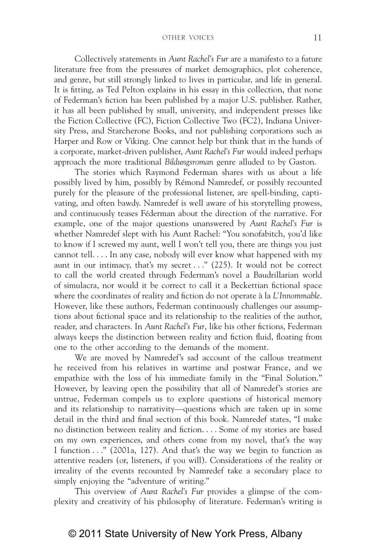Collectively statements in *Aunt Rachel's Fur* are a manifesto to a future literature free from the pressures of market demographics, plot coherence, and genre, but still strongly linked to lives in particular, and life in general. It is fitting, as Ted Pelton explains in his essay in this collection, that none of Federman's fiction has been published by a major U.S. publisher. Rather, it has all been published by small, university, and independent presses like the Fiction Collective (FC), Fiction Collective Two (FC2), Indiana University Press, and Starcherone Books, and not publishing corporations such as Harper and Row or Viking. One cannot help but think that in the hands of a corporate, market-driven publisher, *Aunt Rachel's Fur* would indeed perhaps approach the more traditional *Bildungsroman* genre alluded to by Gaston.

The stories which Raymond Federman shares with us about a life possibly lived by him, possibly by Rémond Namredef, or possibly recounted purely for the pleasure of the professional listener, are spell-binding, captivating, and often bawdy. Namredef is well aware of his storytelling prowess, and continuously teases Féderman about the direction of the narrative. For example, one of the major questions unanswered by *Aunt Rachel's Fur* is whether Namredef slept with his Aunt Rachel: "You sonofabitch, you'd like to know if I screwed my aunt, well I won't tell you, there are things you just cannot tell. . . . In any case, nobody will ever know what happened with my aunt in our intimacy, that's my secret  $\ldots$ " (225). It would not be correct to call the world created through Federman's novel a Baudrillarian world of simulacra, nor would it be correct to call it a Beckettian fictional space where the coordinates of reality and fiction do not operate à la *L'Innommable*. However, like these authors, Federman continuously challenges our assumptions about fictional space and its relationship to the realities of the author, reader, and characters. In Aunt Rachel's Fur, like his other fictions, Federman always keeps the distinction between reality and fiction fluid, floating from one to the other according to the demands of the moment.

We are moved by Namredef's sad account of the callous treatment he received from his relatives in wartime and postwar France, and we empathize with the loss of his immediate family in the "Final Solution." However, by leaving open the possibility that all of Namredef's stories are untrue, Federman compels us to explore questions of historical memory and its relationship to narrativity—questions which are taken up in some detail in the third and final section of this book. Namredef states, "I make no distinction between reality and fiction. . . . Some of my stories are based on my own experiences, and others come from my novel, that's the way I function  $\ldots$  (2001a, 127). And that's the way we begin to function as attentive readers (or, listeners, if you will). Considerations of the reality or irreality of the events recounted by Namredef take a secondary place to simply enjoying the "adventure of writing."

This overview of *Aunt Rachel's Fur* provides a glimpse of the complexity and creativity of his philosophy of literature. Federman's writing is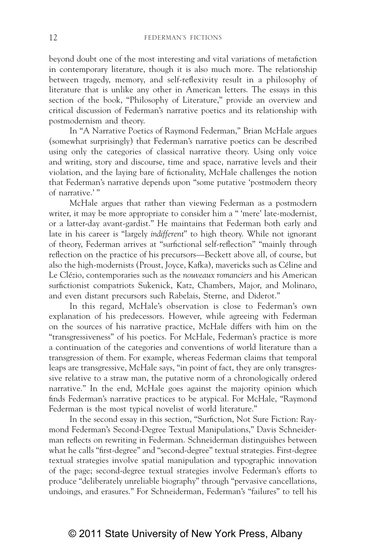beyond doubt one of the most interesting and vital variations of metafiction in contemporary literature, though it is also much more. The relationship between tragedy, memory, and self-reflexivity result in a philosophy of literature that is unlike any other in American letters. The essays in this section of the book, "Philosophy of Literature," provide an overview and critical discussion of Federman's narrative poetics and its relationship with postmodernism and theory.

In "A Narrative Poetics of Raymond Federman," Brian McHale argues (somewhat surprisingly) that Federman's narrative poetics can be described using only the categories of classical narrative theory. Using only voice and writing, story and discourse, time and space, narrative levels and their violation, and the laying bare of fictionality, McHale challenges the notion that Federman's narrative depends upon "some putative 'postmodern theory of narrative.' "

McHale argues that rather than viewing Federman as a postmodern writer, it may be more appropriate to consider him a "'mere' late-modernist, or a latter-day avant-gardist." He maintains that Federman both early and late in his career is "largely *indifferent*" to high theory. While not ignorant of theory, Federman arrives at "surfictional self-reflection" "mainly through reflection on the practice of his precursors—Beckett above all, of course, but also the high-modernists (Proust, Joyce, Kafka), mavericks such as Céline and Le Clézio, contemporaries such as the *nouveaux romanciers* and his American surfictionist compatriots Sukenick, Katz, Chambers, Major, and Molinaro, and even distant precursors such Rabelais, Sterne, and Diderot."

In this regard, McHale's observation is close to Federman's own explanation of his predecessors. However, while agreeing with Federman on the sources of his narrative practice, McHale differs with him on the "transgressiveness" of his poetics. For McHale, Federman's practice is more a continuation of the categories and conventions of world literature than a transgression of them. For example, whereas Federman claims that temporal leaps are transgressive, McHale says, "in point of fact, they are only transgressive relative to a straw man, the putative norm of a chronologically ordered narrative." In the end, McHale goes against the majority opinion which finds Federman's narrative practices to be atypical. For McHale, "Raymond Federman is the most typical novelist of world literature."

In the second essay in this section, "Surfiction, Not Sure Fiction: Raymond Federman's Second-Degree Textual Manipulations," Davis Schneiderman reflects on rewriting in Federman. Schneiderman distinguishes between what he calls "first-degree" and "second-degree" textual strategies. First-degree textual strategies involve spatial manipulation and typographic innovation of the page; second-degree textual strategies involve Federman's efforts to produce "deliberately unreliable biography" through "pervasive cancellations, undoings, and erasures." For Schneiderman, Federman's "failures" to tell his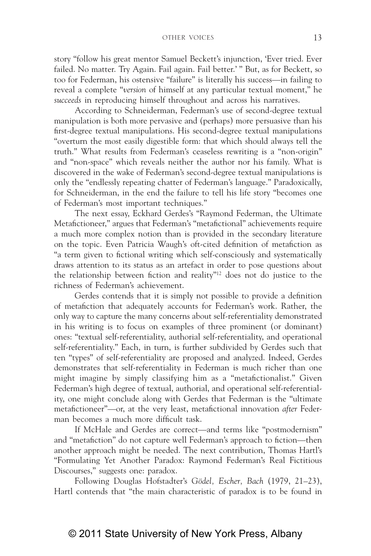story "follow his great mentor Samuel Beckett's injunction, 'Ever tried. Ever failed. No matter. Try Again. Fail again. Fail better.' " But, as for Beckett, so too for Federman, his ostensive "failure" is literally his success—in failing to reveal a complete "*version* of himself at any particular textual moment," he *succeeds* in reproducing himself throughout and across his narratives.

According to Schneiderman, Federman's use of second-degree textual manipulation is both more pervasive and (perhaps) more persuasive than his first-degree textual manipulations. His second-degree textual manipulations "overturn the most easily digestible form: that which should always tell the truth." What results from Federman's ceaseless rewriting is a "non-origin" and "non-space" which reveals neither the author nor his family. What is discovered in the wake of Federman's second-degree textual manipulations is only the "endlessly repeating chatter of Federman's language." Paradoxically, for Schneiderman, in the end the failure to tell his life story "becomes one of Federman's most important techniques."

The next essay, Eckhard Gerdes's "Raymond Federman, the Ultimate Metafictioneer," argues that Federman's "metafictional" achievements require a much more complex notion than is provided in the secondary literature on the topic. Even Patricia Waugh's oft-cited definition of metafiction as "a term given to fictional writing which self-consciously and systematically draws attention to its status as an artefact in order to pose questions about the relationship between fiction and reality"<sup>12</sup> does not do justice to the richness of Federman's achievement.

Gerdes contends that it is simply not possible to provide a definition of metafiction that adequately accounts for Federman's work. Rather, the only way to capture the many concerns about self-referentiality demonstrated in his writing is to focus on examples of three prominent (or dominant) ones: "textual self-referentiality, authorial self-referentiality, and operational self-referentiality." Each, in turn, is further subdivided by Gerdes such that ten "types" of self-referentiality are proposed and analyzed. Indeed, Gerdes demonstrates that self-referentiality in Federman is much richer than one might imagine by simply classifying him as a "metafictionalist." Given Federman's high degree of textual, authorial, and operational self-referentiality, one might conclude along with Gerdes that Federman is the "ultimate metafictioneer"—or, at the very least, metafictional innovation *after* Federman becomes a much more difficult task.

If McHale and Gerdes are correct—and terms like "postmodernism" and "metafiction" do not capture well Federman's approach to fiction—then another approach might be needed. The next contribution, Thomas Hartl's "Formulating Yet Another Paradox: Raymond Federman's Real Fictitious Discourses," suggests one: paradox.

Following Douglas Hofstadter's *Gödel, Escher, Bach* (1979, 21–23), Hartl contends that "the main characteristic of paradox is to be found in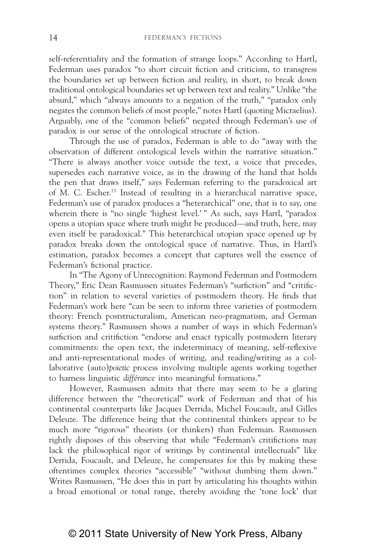self-referentiality and the formation of strange loops." According to Hartl, Federman uses paradox "to short circuit fiction and criticism, to transgress the boundaries set up between fiction and reality, in short, to break down traditional ontological boundaries set up between text and reality." Unlike "the absurd," which "always amounts to a negation of the truth," "paradox only negates the common beliefs of most people," notes Hartl (quoting Micraelius). Arguably, one of the "common beliefs" negated through Federman's use of paradox is our sense of the ontological structure of fiction.

Through the use of paradox, Federman is able to do "away with the observation of different ontological levels within the narrative situation." "There is always another voice outside the text, a voice that precedes, supersedes each narrative voice, as in the drawing of the hand that holds the pen that draws itself," says Federman referring to the paradoxical art of M. C. Escher.13 Instead of resulting in a hierarchical narrative space, Federman's use of paradox produces a "heterarchical" one, that is to say, one wherein there is "no single 'highest level.' " As such, says Hartl, "paradox opens a utopian space where truth might be produced—and truth, here, may even itself be paradoxical." This heterarchical utopian space opened up by paradox breaks down the ontological space of narrative. Thus, in Hartl's estimation, paradox becomes a concept that captures well the essence of Federman's fictional practice.

In "The Agony of Unrecognition: Raymond Federman and Postmodern Theory," Eric Dean Rasmussen situates Federman's "surfiction" and "critifiction" in relation to several varieties of postmodern theory. He finds that Federman's work here "can be seen to inform three varieties of postmodern theory: French poststructuralism, American neo-pragmatism, and German systems theory." Rasmussen shows a number of ways in which Federman's surfiction and critifiction "endorse and enact typically postmodern literary commitments: the open text, the indeterminacy of meaning, self-reflexive and anti-representational modes of writing, and reading/writing as a collaborative (auto)*poietic* process involving multiple agents working together to harness linguistic *différance* into meaningful formations."

However, Rasmussen admits that there may seem to be a glaring difference between the "theoretical" work of Federman and that of his continental counterparts like Jacques Derrida, Michel Foucault, and Gilles Deleuze. The difference being that the continental thinkers appear to be much more "rigorous" theorists (or thinkers) than Federman. Rasmussen rightly disposes of this observing that while "Federman's critifictions may lack the philosophical rigor of writings by continental intellectuals" like Derrida, Foucault, and Deleuze, he compensates for this by making these oftentimes complex theories "accessible" "without dumbing them down." Writes Rasmussen, "He does this in part by articulating his thoughts within a broad emotional or tonal range, thereby avoiding the 'tone lock' that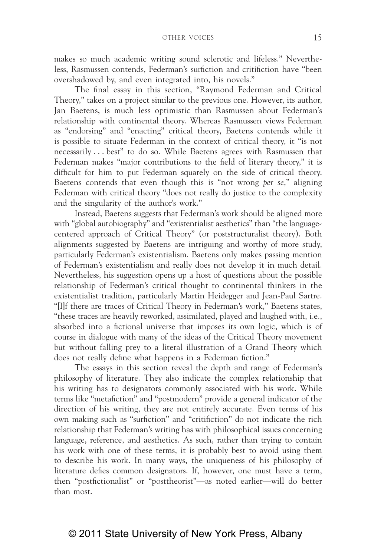makes so much academic writing sound sclerotic and lifeless." Nevertheless, Rasmussen contends, Federman's surfiction and critifiction have "been overshadowed by, and even integrated into, his novels."

The final essay in this section, "Raymond Federman and Critical Theory," takes on a project similar to the previous one. However, its author, Jan Baetens, is much less optimistic than Rasmussen about Federman's relationship with continental theory. Whereas Rasmussen views Federman as "endorsing" and "enacting" critical theory, Baetens contends while it is possible to situate Federman in the context of critical theory, it "is not necessarily . . . best" to do so. While Baetens agrees with Rasmussen that Federman makes "major contributions to the field of literary theory," it is difficult for him to put Federman squarely on the side of critical theory. Baetens contends that even though this is "not wrong *per se*," aligning Federman with critical theory "does not really do justice to the complexity and the singularity of the author's work."

Instead, Baetens suggests that Federman's work should be aligned more with "global autobiography" and "existentialist aesthetics" than "the languagecentered approach of Critical Theory" (or poststructuralist theory). Both alignments suggested by Baetens are intriguing and worthy of more study, particularly Federman's existentialism. Baetens only makes passing mention of Federman's existentialism and really does not develop it in much detail. Nevertheless, his suggestion opens up a host of questions about the possible relationship of Federman's critical thought to continental thinkers in the existentialist tradition, particularly Martin Heidegger and Jean-Paul Sartre. "[I]f there are traces of Critical Theory in Federman's work," Baetens states, "these traces are heavily reworked, assimilated, played and laughed with, i.e., absorbed into a fictional universe that imposes its own logic, which is of course in dialogue with many of the ideas of the Critical Theory movement but without falling prey to a literal illustration of a Grand Theory which does not really define what happens in a Federman fiction."

The essays in this section reveal the depth and range of Federman's philosophy of literature. They also indicate the complex relationship that his writing has to designators commonly associated with his work. While terms like "metafiction" and "postmodern" provide a general indicator of the direction of his writing, they are not entirely accurate. Even terms of his own making such as "surfiction" and "critifiction" do not indicate the rich relationship that Federman's writing has with philosophical issues concerning language, reference, and aesthetics. As such, rather than trying to contain his work with one of these terms, it is probably best to avoid using them to describe his work. In many ways, the uniqueness of his philosophy of literature defies common designators. If, however, one must have a term, then "postfictionalist" or "posttheorist"—as noted earlier—will do better than most.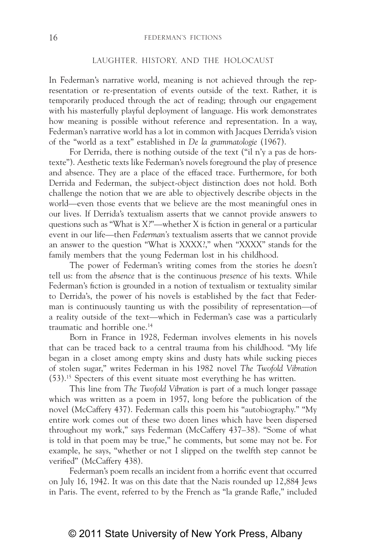### LAUGHTER, HISTORY, AND THE HOLOCAUST

In Federman's narrative world, meaning is not achieved through the representation or re-presentation of events outside of the text. Rather, it is temporarily produced through the act of reading; through our engagement with his masterfully playful deployment of language. His work demonstrates how meaning is possible without reference and representation. In a way, Federman's narrative world has a lot in common with Jacques Derrida's vision of the "world as a text" established in *De la grammatologie* (1967).

For Derrida, there is nothing outside of the text ("il n'y a pas de horstexte"). Aesthetic texts like Federman's novels foreground the play of presence and absence. They are a place of the effaced trace. Furthermore, for both Derrida and Federman, the subject-object distinction does not hold. Both challenge the notion that we are able to objectively describe objects in the world—even those events that we believe are the most meaningful ones in our lives. If Derrida's textualism asserts that we cannot provide answers to questions such as "What is  $X$ ?"—whether  $X$  is fiction in general or a particular event in our life—then *Federman's* textualism asserts that we cannot provide an answer to the question "What is XXXX?," when "XXXX" stands for the family members that the young Federman lost in his childhood.

The power of Federman's writing comes from the stories he *doesn't* tell us: from the *absence* that is the continuous *presence* of his texts. While Federman's fiction is grounded in a notion of textualism or textuality similar to Derrida's, the power of his novels is established by the fact that Federman is continuously taunting us with the possibility of representation—of a reality outside of the text—which in Federman's case was a particularly traumatic and horrible one.14

Born in France in 1928, Federman involves elements in his novels that can be traced back to a central trauma from his childhood. "My life began in a closet among empty skins and dusty hats while sucking pieces of stolen sugar," writes Federman in his 1982 novel *The Twofold Vibration* (53).15 Specters of this event situate most everything he has written.

This line from *The Twofold Vibration* is part of a much longer passage which was written as a poem in 1957, long before the publication of the novel (McCaffery 437). Federman calls this poem his "autobiography." "My entire work comes out of these two dozen lines which have been dispersed throughout my work," says Federman (McCaffery 437–38). "Some of what is told in that poem may be true," he comments, but some may not be. For example, he says, "whether or not I slipped on the twelfth step cannot be verified" (McCaffery 438).

Federman's poem recalls an incident from a horrific event that occurred on July 16, 1942. It was on this date that the Nazis rounded up 12,884 Jews in Paris. The event, referred to by the French as "la grande Rafle," included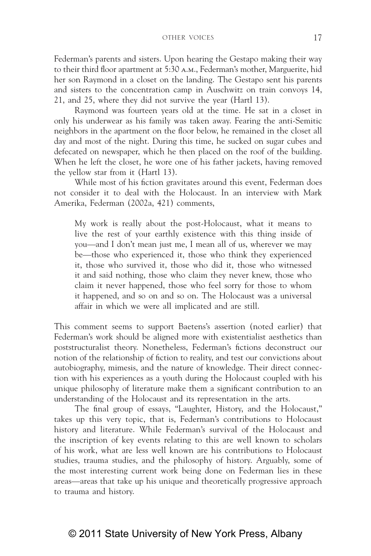Federman's parents and sisters. Upon hearing the Gestapo making their way to their third floor apartment at 5:30 A.M., Federman's mother, Marguerite, hid her son Raymond in a closet on the landing. The Gestapo sent his parents and sisters to the concentration camp in Auschwitz on train convoys 14, 21, and 25, where they did not survive the year (Hartl 13).

Raymond was fourteen years old at the time. He sat in a closet in only his underwear as his family was taken away. Fearing the anti-Semitic neighbors in the apartment on the floor below, he remained in the closet all day and most of the night. During this time, he sucked on sugar cubes and defecated on newspaper, which he then placed on the roof of the building. When he left the closet, he wore one of his father jackets, having removed the yellow star from it (Hartl 13).

While most of his fiction gravitates around this event, Federman does not consider it to deal with the Holocaust. In an interview with Mark Amerika, Federman (2002a, 421) comments,

My work is really about the post-Holocaust, what it means to live the rest of your earthly existence with this thing inside of you—and I don't mean just me, I mean all of us, wherever we may be—those who experienced it, those who think they experienced it, those who survived it, those who did it, those who witnessed it and said nothing, those who claim they never knew, those who claim it never happened, those who feel sorry for those to whom it happened, and so on and so on. The Holocaust was a universal affair in which we were all implicated and are still.

This comment seems to support Baetens's assertion (noted earlier) that Federman's work should be aligned more with existentialist aesthetics than poststructuralist theory. Nonetheless, Federman's fictions deconstruct our notion of the relationship of fiction to reality, and test our convictions about autobiography, mimesis, and the nature of knowledge. Their direct connection with his experiences as a youth during the Holocaust coupled with his unique philosophy of literature make them a significant contribution to an understanding of the Holocaust and its representation in the arts.

The final group of essays, "Laughter, History, and the Holocaust," takes up this very topic, that is, Federman's contributions to Holocaust history and literature. While Federman's survival of the Holocaust and the inscription of key events relating to this are well known to scholars of his work, what are less well known are his contributions to Holocaust studies, trauma studies, and the philosophy of history. Arguably, some of the most interesting current work being done on Federman lies in these areas—areas that take up his unique and theoretically progressive approach to trauma and history.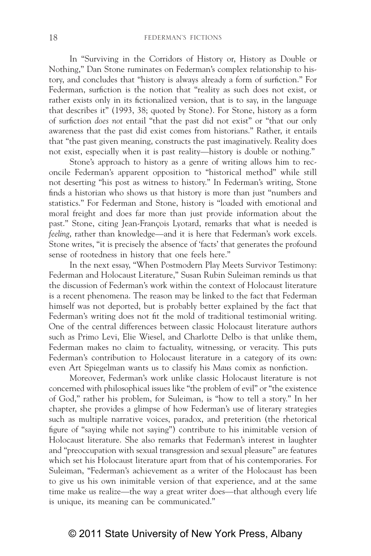In "Surviving in the Corridors of History or, History as Double or Nothing," Dan Stone ruminates on Federman's complex relationship to history, and concludes that "history is always already a form of surfiction." For Federman, surfiction is the notion that "reality as such does not exist, or rather exists only in its fictionalized version, that is to say, in the language that describes it" (1993, 38; quoted by Stone). For Stone, history as a form of surfiction *does not* entail "that the past did not exist" or "that our only awareness that the past did exist comes from historians." Rather, it entails that "the past given meaning, constructs the past imaginatively. Reality does not exist, especially when it is past reality—history is double or nothing."

Stone's approach to history as a genre of writing allows him to reconcile Federman's apparent opposition to "historical method" while still not deserting "his post as witness to history." In Federman's writing, Stone finds a historian who shows us that history is more than just "numbers and statistics." For Federman and Stone, history is "loaded with emotional and moral freight and does far more than just provide information about the past." Stone, citing Jean-François Lyotard, remarks that what is needed is *feeling*, rather than knowledge—and it is here that Federman's work excels. Stone writes, "it is precisely the absence of 'facts' that generates the profound sense of rootedness in history that one feels here."

In the next essay, "When Postmodern Play Meets Survivor Testimony: Federman and Holocaust Literature," Susan Rubin Suleiman reminds us that the discussion of Federman's work within the context of Holocaust literature is a recent phenomena. The reason may be linked to the fact that Federman himself was not deported, but is probably better explained by the fact that Federman's writing does not fit the mold of traditional testimonial writing. One of the central differences between classic Holocaust literature authors such as Primo Levi, Elie Wiesel, and Charlotte Delbo is that unlike them, Federman makes no claim to factuality, witnessing, or veracity. This puts Federman's contribution to Holocaust literature in a category of its own: even Art Spiegelman wants us to classify his *Maus* comix as nonfiction.

Moreover, Federman's work unlike classic Holocaust literature is not concerned with philosophical issues like "the problem of evil" or "the existence of God," rather his problem, for Suleiman, is "how to tell a story." In her chapter, she provides a glimpse of how Federman's use of literary strategies such as multiple narrative voices, paradox, and preterition (the rhetorical figure of "saying while not saying") contribute to his inimitable version of Holocaust literature. She also remarks that Federman's interest in laughter and "preoccupation with sexual transgression and sexual pleasure" are features which set his Holocaust literature apart from that of his contemporaries. For Suleiman, "Federman's achievement as a writer of the Holocaust has been to give us his own inimitable version of that experience, and at the same time make us realize—the way a great writer does—that although every life is unique, its meaning can be communicated."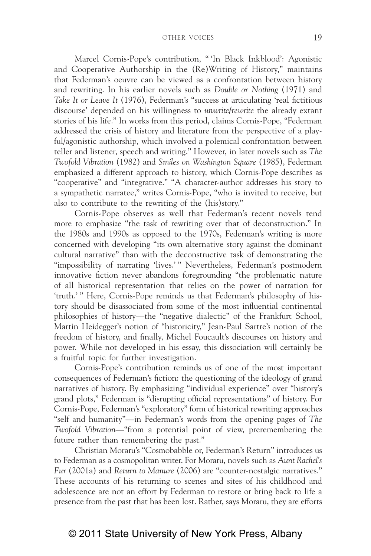Marcel Cornis-Pope's contribution, " 'In Black Inkblood': Agonistic and Cooperative Authorship in the (Re)Writing of History," maintains that Federman's oeuvre can be viewed as a confrontation between history and rewriting. In his earlier novels such as *Double or Nothing* (1971) and *Take It or Leave It* (1976), Federman's "success at articulating 'real fictitious discourse' depended on his willingness to *unwrite/rewrite* the already extant stories of his life." In works from this period, claims Cornis-Pope, "Federman addressed the crisis of history and literature from the perspective of a playful/agonistic authorship, which involved a polemical confrontation between teller and listener, speech and writing." However, in later novels such as *The Twofold Vibration* (1982) and *Smiles on Washington Square* (1985), Federman emphasized a different approach to history, which Cornis-Pope describes as "cooperative" and "integrative." "A character-author addresses his story to a sympathetic narratee," writes Cornis-Pope, "who is invited to receive, but also to contribute to the rewriting of the (his)story."

Cornis-Pope observes as well that Federman's recent novels tend more to emphasize "the task of rewriting over that of deconstruction." In the 1980s and 1990s as opposed to the 1970s, Federman's writing is more concerned with developing "its own alternative story against the dominant cultural narrative" than with the deconstructive task of demonstrating the "impossibility of narrating 'lives.' " Nevertheless, Federman's postmodern innovative fiction never abandons foregrounding "the problematic nature of all historical representation that relies on the power of narration for 'truth.' " Here, Cornis-Pope reminds us that Federman's philosophy of history should be disassociated from some of the most influential continental philosophies of history—the "negative dialectic" of the Frankfurt School, Martin Heidegger's notion of "historicity," Jean-Paul Sartre's notion of the freedom of history, and finally, Michel Foucault's discourses on history and power. While not developed in his essay, this dissociation will certainly be a fruitful topic for further investigation.

Cornis-Pope's contribution reminds us of one of the most important consequences of Federman's fiction: the questioning of the ideology of grand narratives of history. By emphasizing "individual experience" over "history's grand plots," Federman is "disrupting official representations" of history. For Cornis-Pope, Federman's "exploratory" form of historical rewriting approaches "self and humanity"—in Federman's words from the opening pages of *The Twofold Vibration*—"from a potential point of view, preremembering the future rather than remembering the past."

Christian Moraru's "Cosmobabble or, Federman's Return" introduces us to Federman as a cosmopolitan writer. For Moraru, novels such as *Aunt Rachel's Fur* (2001a) and *Return to Manure* (2006) are "counter-nostalgic narratives." These accounts of his returning to scenes and sites of his childhood and adolescence are not an effort by Federman to restore or bring back to life a presence from the past that has been lost. Rather, says Moraru, they are efforts